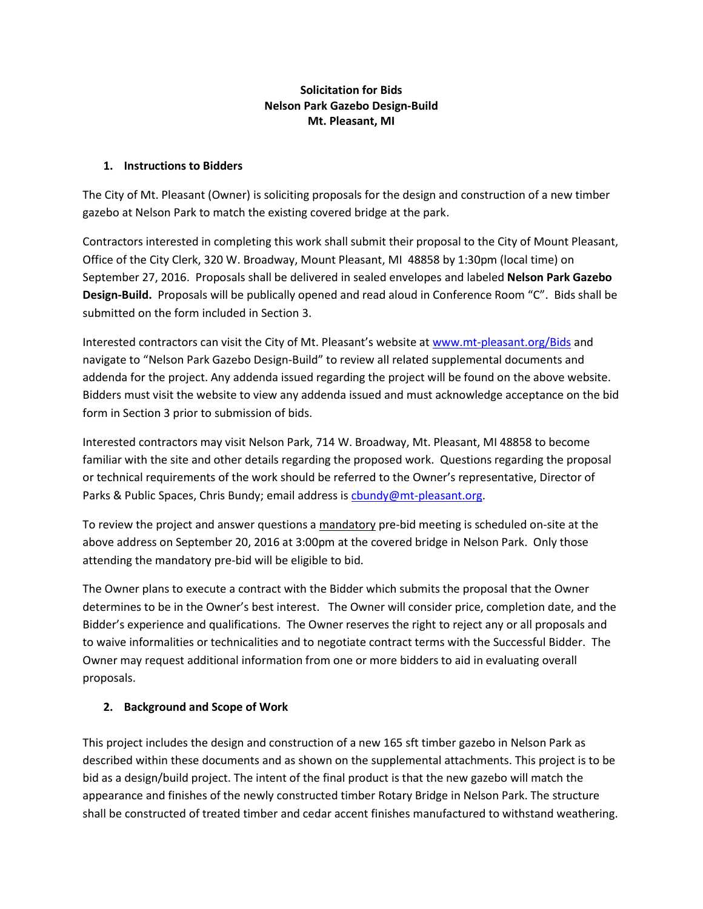# **Solicitation for Bids Nelson Park Gazebo Design-Build Mt. Pleasant, MI**

#### **1. Instructions to Bidders**

The City of Mt. Pleasant (Owner) is soliciting proposals for the design and construction of a new timber gazebo at Nelson Park to match the existing covered bridge at the park.

Contractors interested in completing this work shall submit their proposal to the City of Mount Pleasant, Office of the City Clerk, 320 W. Broadway, Mount Pleasant, MI 48858 by 1:30pm (local time) on September 27, 2016. Proposals shall be delivered in sealed envelopes and labeled **Nelson Park Gazebo Design-Build.** Proposals will be publically opened and read aloud in Conference Room "C". Bids shall be submitted on the form included in Section 3.

Interested contractors can visit the City of Mt. Pleasant's website at [www.mt-pleasant.org/Bids](file://///MTPL/CAD/Projects/16M0100/Docs/Specs%20or%20Special%20Provisions/www.mt-pleasant.org/Bids) and navigate to "Nelson Park Gazebo Design-Build" to review all related supplemental documents and addenda for the project. Any addenda issued regarding the project will be found on the above website. Bidders must visit the website to view any addenda issued and must acknowledge acceptance on the bid form in Section 3 prior to submission of bids.

Interested contractors may visit Nelson Park, 714 W. Broadway, Mt. Pleasant, MI 48858 to become familiar with the site and other details regarding the proposed work. Questions regarding the proposal or technical requirements of the work should be referred to the Owner's representative, Director of Parks & Public Spaces, Chris Bundy; email address is [cbundy@mt-pleasant.org.](mailto:cbundy@mt-pleasant.org)

To review the project and answer questions a mandatory pre-bid meeting is scheduled on-site at the above address on September 20, 2016 at 3:00pm at the covered bridge in Nelson Park. Only those attending the mandatory pre-bid will be eligible to bid.

The Owner plans to execute a contract with the Bidder which submits the proposal that the Owner determines to be in the Owner's best interest. The Owner will consider price, completion date, and the Bidder's experience and qualifications. The Owner reserves the right to reject any or all proposals and to waive informalities or technicalities and to negotiate contract terms with the Successful Bidder. The Owner may request additional information from one or more bidders to aid in evaluating overall proposals.

# **2. Background and Scope of Work**

This project includes the design and construction of a new 165 sft timber gazebo in Nelson Park as described within these documents and as shown on the supplemental attachments. This project is to be bid as a design/build project. The intent of the final product is that the new gazebo will match the appearance and finishes of the newly constructed timber Rotary Bridge in Nelson Park. The structure shall be constructed of treated timber and cedar accent finishes manufactured to withstand weathering.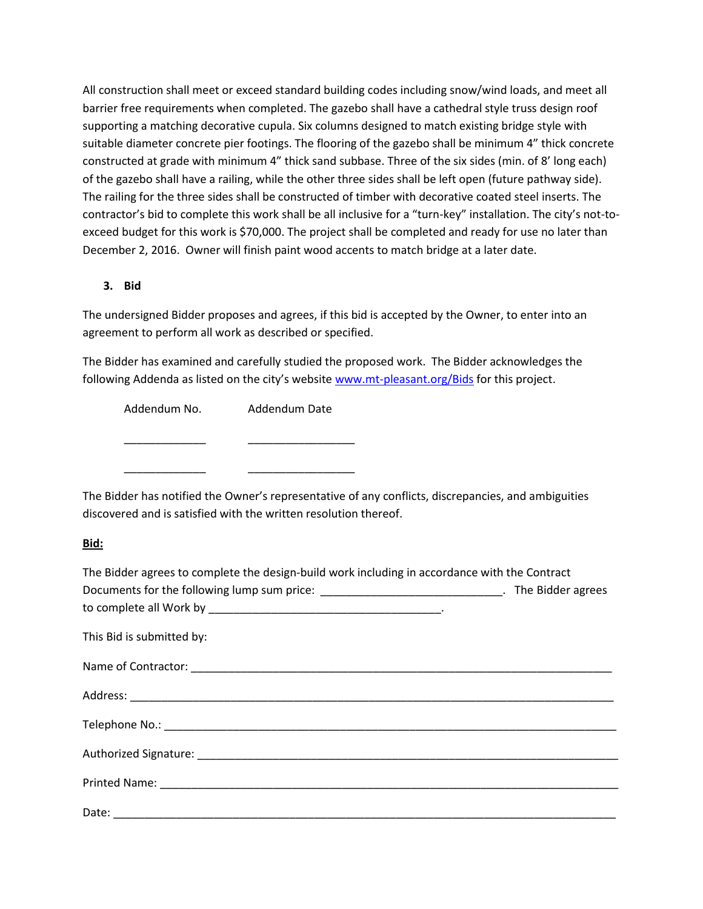All construction shall meet or exceed standard building codes including snow/wind loads, and meet all barrier free requirements when completed. The gazebo shall have a cathedral style truss design roof supporting a matching decorative cupula. Six columns designed to match existing bridge style with suitable diameter concrete pier footings. The flooring of the gazebo shall be minimum 4" thick concrete constructed at grade with minimum 4" thick sand subbase. Three of the six sides (min. of 8' long each) of the gazebo shall have a railing, while the other three sides shall be left open (future pathway side). The railing for the three sides shall be constructed of timber with decorative coated steel inserts. The contractor's bid to complete this work shall be all inclusive for a "turn-key" installation. The city's not-toexceed budget for this work is \$70,000. The project shall be completed and ready for use no later than December 2, 2016. Owner will finish paint wood accents to match bridge at a later date.

#### **3. Bid**

The undersigned Bidder proposes and agrees, if this bid is accepted by the Owner, to enter into an agreement to perform all work as described or specified.

The Bidder has examined and carefully studied the proposed work. The Bidder acknowledges the following Addenda as listed on the city's website [www.mt-pleasant.org/Bids](http://www.mt-pleasant.org/Bids) for this project.

| Addendum No. | Addendum Date |
|--------------|---------------|
|              |               |
|              |               |
|              |               |

The Bidder has notified the Owner's representative of any conflicts, discrepancies, and ambiguities discovered and is satisfied with the written resolution thereof.

# **Bid:**

| The Bidder agrees to complete the design-build work including in accordance with the Contract   |  |  |
|-------------------------------------------------------------------------------------------------|--|--|
| Documents for the following lump sum price: ________________________________. The Bidder agrees |  |  |
|                                                                                                 |  |  |
| This Bid is submitted by:                                                                       |  |  |
|                                                                                                 |  |  |
|                                                                                                 |  |  |
|                                                                                                 |  |  |
|                                                                                                 |  |  |
|                                                                                                 |  |  |
|                                                                                                 |  |  |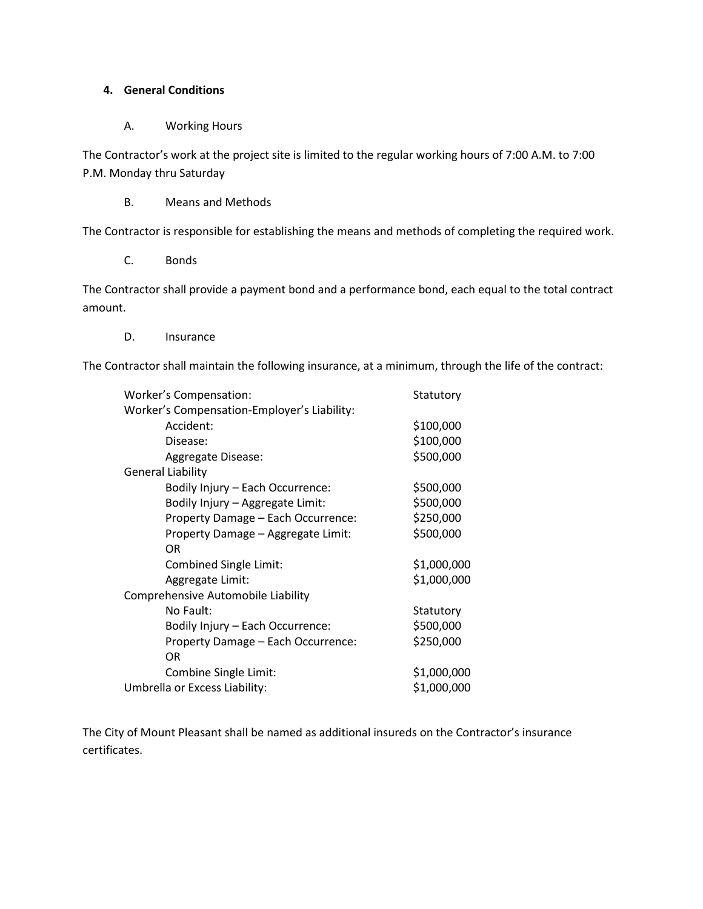#### **4. General Conditions**

#### A. Working Hours

The Contractor's work at the project site is limited to the regular working hours of 7:00 A.M. to 7:00 P.M. Monday thru Saturday

B. Means and Methods

The Contractor is responsible for establishing the means and methods of completing the required work.

C. Bonds

The Contractor shall provide a payment bond and a performance bond, each equal to the total contract amount.

D. Insurance

The Contractor shall maintain the following insurance, at a minimum, through the life of the contract:

| Worker's Compensation:                      | Statutory   |
|---------------------------------------------|-------------|
| Worker's Compensation-Employer's Liability: |             |
| Accident:                                   | \$100,000   |
| Disease:                                    | \$100,000   |
| Aggregate Disease:                          | \$500,000   |
| <b>General Liability</b>                    |             |
| Bodily Injury - Each Occurrence:            | \$500,000   |
| Bodily Injury - Aggregate Limit:            | \$500,000   |
| Property Damage - Each Occurrence:          | \$250,000   |
| Property Damage - Aggregate Limit:          | \$500,000   |
| 0R                                          |             |
| Combined Single Limit:                      | \$1,000,000 |
| Aggregate Limit:                            | \$1,000,000 |
| Comprehensive Automobile Liability          |             |
| No Fault:                                   | Statutory   |
| Bodily Injury - Each Occurrence:            | \$500,000   |
| Property Damage - Each Occurrence:          | \$250,000   |
| 0R                                          |             |
| Combine Single Limit:                       | \$1,000,000 |
| Umbrella or Excess Liability:               | \$1,000,000 |

The City of Mount Pleasant shall be named as additional insureds on the Contractor's insurance certificates.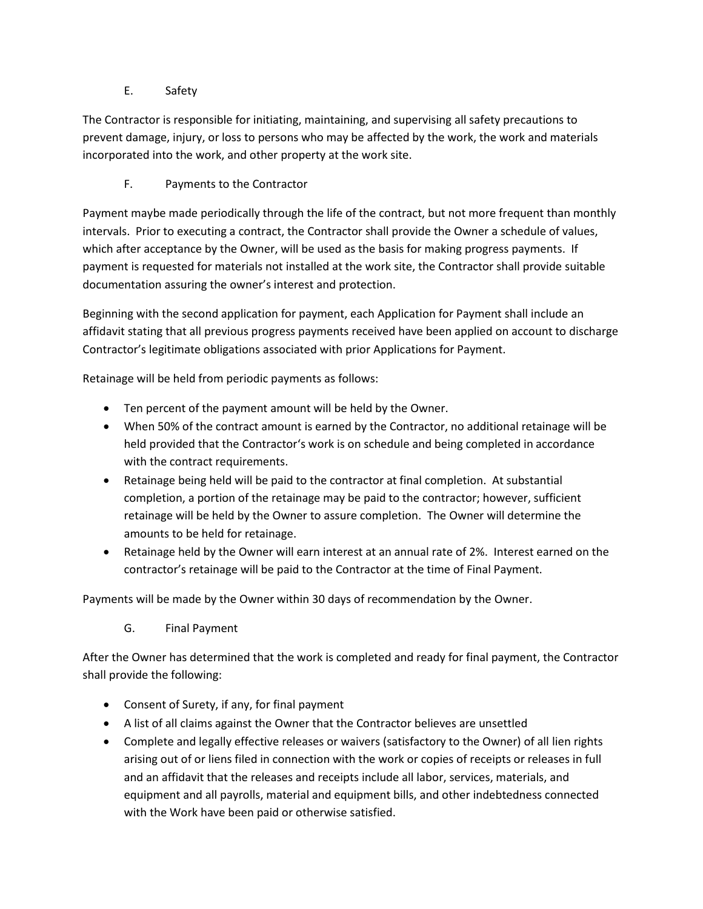E. Safety

The Contractor is responsible for initiating, maintaining, and supervising all safety precautions to prevent damage, injury, or loss to persons who may be affected by the work, the work and materials incorporated into the work, and other property at the work site.

F. Payments to the Contractor

Payment maybe made periodically through the life of the contract, but not more frequent than monthly intervals. Prior to executing a contract, the Contractor shall provide the Owner a schedule of values, which after acceptance by the Owner, will be used as the basis for making progress payments. If payment is requested for materials not installed at the work site, the Contractor shall provide suitable documentation assuring the owner's interest and protection.

Beginning with the second application for payment, each Application for Payment shall include an affidavit stating that all previous progress payments received have been applied on account to discharge Contractor's legitimate obligations associated with prior Applications for Payment.

Retainage will be held from periodic payments as follows:

- Ten percent of the payment amount will be held by the Owner.
- When 50% of the contract amount is earned by the Contractor, no additional retainage will be held provided that the Contractor's work is on schedule and being completed in accordance with the contract requirements.
- Retainage being held will be paid to the contractor at final completion. At substantial completion, a portion of the retainage may be paid to the contractor; however, sufficient retainage will be held by the Owner to assure completion. The Owner will determine the amounts to be held for retainage.
- Retainage held by the Owner will earn interest at an annual rate of 2%. Interest earned on the contractor's retainage will be paid to the Contractor at the time of Final Payment.

Payments will be made by the Owner within 30 days of recommendation by the Owner.

G. Final Payment

After the Owner has determined that the work is completed and ready for final payment, the Contractor shall provide the following:

- Consent of Surety, if any, for final payment
- A list of all claims against the Owner that the Contractor believes are unsettled
- Complete and legally effective releases or waivers (satisfactory to the Owner) of all lien rights arising out of or liens filed in connection with the work or copies of receipts or releases in full and an affidavit that the releases and receipts include all labor, services, materials, and equipment and all payrolls, material and equipment bills, and other indebtedness connected with the Work have been paid or otherwise satisfied.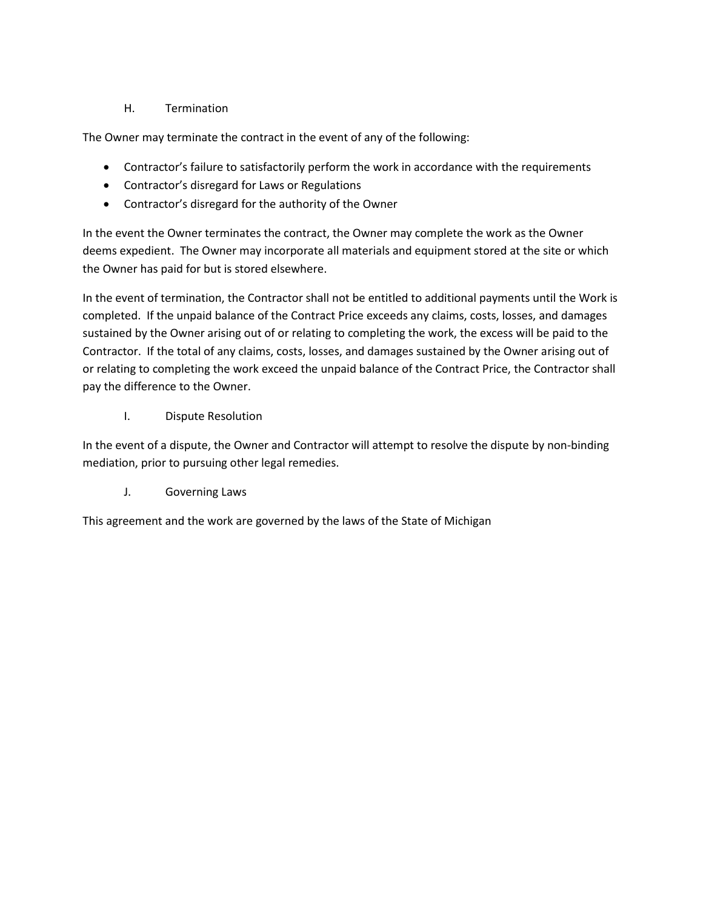# H. Termination

The Owner may terminate the contract in the event of any of the following:

- Contractor's failure to satisfactorily perform the work in accordance with the requirements
- Contractor's disregard for Laws or Regulations
- Contractor's disregard for the authority of the Owner

In the event the Owner terminates the contract, the Owner may complete the work as the Owner deems expedient. The Owner may incorporate all materials and equipment stored at the site or which the Owner has paid for but is stored elsewhere.

In the event of termination, the Contractor shall not be entitled to additional payments until the Work is completed. If the unpaid balance of the Contract Price exceeds any claims, costs, losses, and damages sustained by the Owner arising out of or relating to completing the work, the excess will be paid to the Contractor. If the total of any claims, costs, losses, and damages sustained by the Owner arising out of or relating to completing the work exceed the unpaid balance of the Contract Price, the Contractor shall pay the difference to the Owner.

I. Dispute Resolution

In the event of a dispute, the Owner and Contractor will attempt to resolve the dispute by non-binding mediation, prior to pursuing other legal remedies.

J. Governing Laws

This agreement and the work are governed by the laws of the State of Michigan